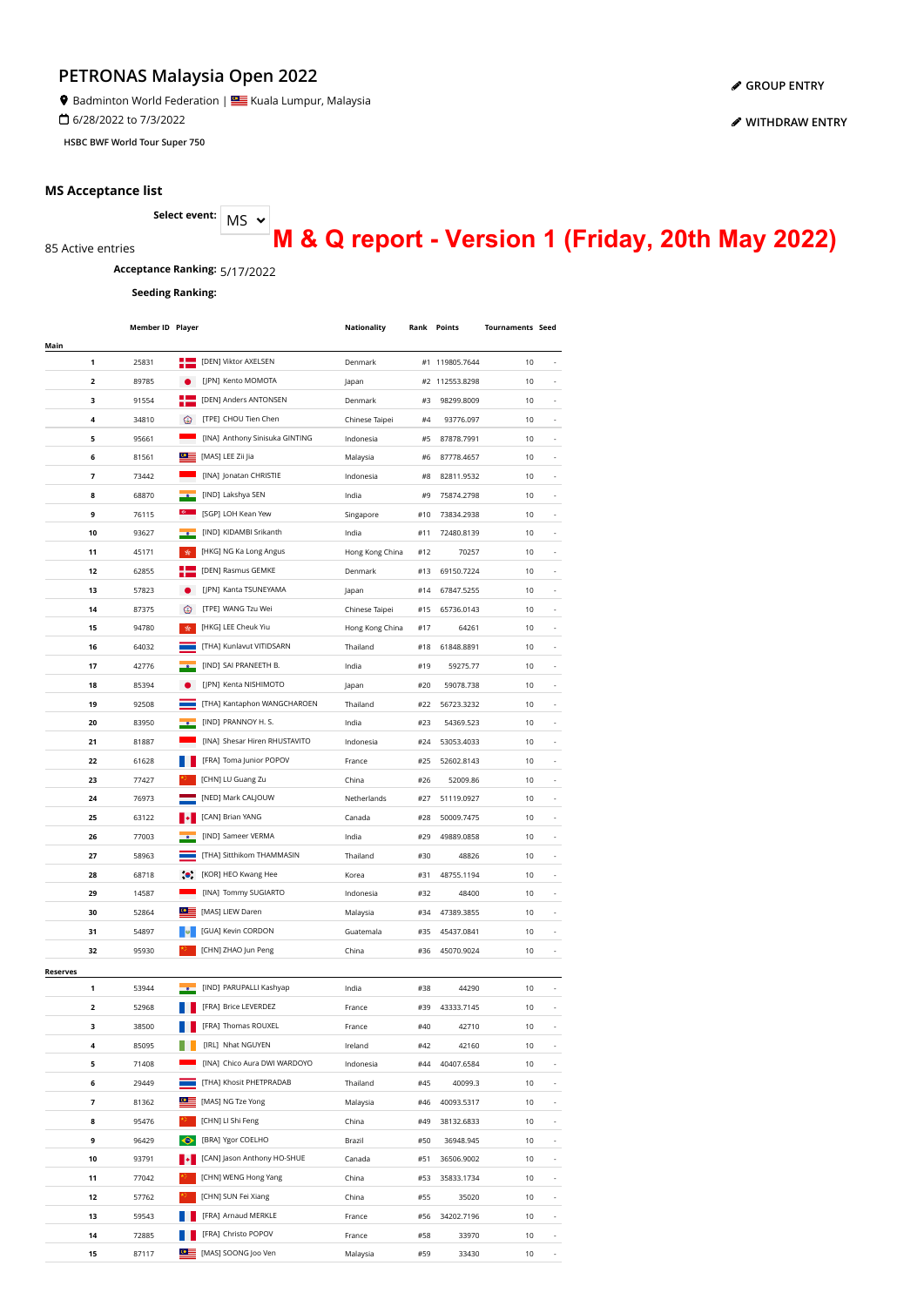Badminton World Federation | **Star** Kuala Lumpur, Malaysia

6/28/2022 to 7/3/2022

**HSBC BWF World Tour Super 750**

#### **MS Acceptance list**

85 Active entries

MS **Select event:**

**M & Q report - Version 1 (Friday, 20th May 2022)**

**Acceptance Ranking:** 5/17/2022

**Seeding Ranking:**

|                 | Member ID Player |                |                                | Nationality     |     | <b>Rank Points</b> | <b>Tournaments Seed</b> |                          |
|-----------------|------------------|----------------|--------------------------------|-----------------|-----|--------------------|-------------------------|--------------------------|
| Main            |                  |                |                                |                 |     |                    |                         |                          |
| 1               | 25831            | Ð              | [DEN] Viktor AXELSEN           | Denmark         |     | #1 119805.7644     | 10                      | $\overline{\phantom{a}}$ |
| 2               | 89785            |                | [JPN] Kento MOMOTA             | Japan           |     | #2 112553.8298     | 10                      |                          |
| з               | 91554            |                | [DEN] Anders ANTONSEN          | Denmark         | #3  | 98299.8009         | 10                      | ä,                       |
| 4               | 34810            | ☺              | [TPE] CHOU Tien Chen           | Chinese Taipei  | #4  | 93776.097          | 10                      |                          |
| 5               | 95661            |                | [INA] Anthony Sinisuka GINTING | Indonesia       | #5  | 87878.7991         | 10                      |                          |
| 6               | 81561            | ≌≌             | [MAS] LEE Zii Jia              | Malaysia        | #6  | 87778.4657         | 10                      |                          |
| 7               | 73442            |                | [INA] Jonatan CHRISTIE         | Indonesia       | #8  | 82811.9532         | 10                      |                          |
| 8               | 68870            |                | [IND] Lakshya SEN              | India           | #9  | 75874.2798         | 10                      |                          |
| 9               | 76115            |                | [SGP] LOH Kean Yew             | Singapore       | #10 | 73834.2938         | 10                      |                          |
| 10              | 93627            |                | [IND] KIDAMBI Srikanth         | India           | #11 | 72480.8139         | 10                      |                          |
| 11              | 45171            | ☆              | [HKG] NG Ka Long Angus         | Hong Kong China | #12 | 70257              | 10                      |                          |
| 12              | 62855            |                | [DEN] Rasmus GEMKE             | Denmark         | #13 | 69150.7224         | 10                      | $\overline{\phantom{m}}$ |
| 13              | 57823            |                | [JPN] Kanta TSUNEYAMA          | Japan           | #14 | 67847.5255         | 10                      | -                        |
| 14              | 87375            | ☺              | [TPE] WANG Tzu Wei             | Chinese Taipei  | #15 | 65736.0143         | 10                      | ÷,                       |
| 15              | 94780            | 责              | [HKG] LEE Cheuk Yiu            | Hong Kong China | #17 | 64261              | 10                      | ÷,                       |
| 16              | 64032            |                | [THA] Kunlavut VITIDSARN       | Thailand        | #18 | 61848.8891         | 10                      | ä,                       |
| 17              | 42776            |                | [IND] SAI PRANEETH B.          | India           | #19 | 59275.77           | 10                      |                          |
| 18              | 85394            |                | [JPN] Kenta NISHIMOTO          | lapan           | #20 | 59078.738          | 10                      |                          |
| 19              | 92508            |                | [THA] Kantaphon WANGCHAROEN    | Thailand        | #22 | 56723.3232         | 10                      |                          |
| 20              | 83950            |                | [IND] PRANNOY H. S.            | India           | #23 | 54369.523          | 10                      |                          |
| 21              | 81887            |                | [INA] Shesar Hiren RHUSTAVITO  | Indonesia       | #24 | 53053.4033         | 10                      |                          |
| 22              | 61628            |                | [FRA] Toma Junior POPOV        | France          | #25 | 52602.8143         | 10                      |                          |
| 23              | 77427            |                | [CHN] LU Guang Zu              | China           | #26 | 52009.86           | 10                      |                          |
| 24              | 76973            |                | [NED] Mark CALJOUW             | Netherlands     | #27 | 51119.0927         | 10                      | $\overline{\phantom{a}}$ |
| 25              | 63122            |                | [CAN] Brian YANG               | Canada          | #28 | 50009.7475         | 10                      | $\overline{\phantom{a}}$ |
| 26              | 77003            |                | [IND] Sameer VERMA             | India           | #29 | 49889.0858         | 10                      | $\overline{\phantom{a}}$ |
| 27              | 58963            |                | [THA] Sitthikom THAMMASIN      | Thailand        | #30 | 48826              | 10                      | $\overline{\phantom{a}}$ |
| 28              | 68718            | $\bullet$      | [KOR] HEO Kwang Hee            | Korea           | #31 | 48755.1194         | 10                      | ÷,                       |
| 29              | 14587            |                | [INA] Tommy SUGIARTO           | Indonesia       | #32 | 48400              | 10                      | ä,                       |
| 30              | 52864            | $\circ \equiv$ | [MAS] LIEW Daren               | Malaysia        | #34 | 47389.3855         | 10                      |                          |
| 31              | 54897            |                | [GUA] Kevin CORDON             | Guatemala       | #35 | 45437.0841         | 10                      |                          |
| 32              | 95930            |                | [CHN] ZHAO Jun Peng            | China           | #36 | 45070.9024         | 10                      |                          |
| <b>Reserves</b> |                  |                |                                |                 |     |                    |                         |                          |
| 1               | 53944            |                | [IND] PARUPALLI Kashyap        | India           | #38 | 44290              | 10                      |                          |
|                 | 52968            |                | [FRA] Brice LEVERDEZ           | France          | #39 | 43333.7145         | 10                      |                          |
| з               | 38500            |                | [FRA] Thomas ROUXEL            | France          | #40 | 42710              | 10                      |                          |
| 4               | 85095            |                | [IRL] Nhat NGUYEN              | Ireland         | #42 | 42160              | 10                      |                          |
| 5               | 71408            |                | [INA] Chico Aura DWI WARDOYO   | Indonesia       | #44 | 40407.6584         | 10                      | $\overline{\phantom{a}}$ |
| 6               | 29449            |                | [THA] Khosit PHETPRADAB        | Thailand        | #45 | 40099.3            | 10                      | $\overline{\phantom{a}}$ |
| 7               | 81362            | ≌≘             | [MAS] NG Tze Yong              | Malaysia        | #46 | 40093.5317         | 10                      | $\overline{\phantom{a}}$ |
| 8               | 95476            |                | [CHN] LI Shi Feng              | China           | #49 | 38132.6833         | 10                      | $\overline{\phantom{a}}$ |
| 9               | 96429            | ◆              | [BRA] Ygor COELHO              | Brazil          | #50 | 36948.945          | 10                      | $\overline{\phantom{a}}$ |
| 10              | 93791            |                | [CAN] Jason Anthony HO-SHUE    | Canada          | #51 | 36506.9002         | 10                      |                          |
| 11              | 77042            |                | [CHN] WENG Hong Yang           | China           | #53 | 35833.1734         | 10                      |                          |
| 12              | 57762            |                | [CHN] SUN Fei Xiang            | China           | #55 | 35020              | 10                      |                          |
| 13              | 59543            |                | [FRA] Arnaud MERKLE            | France          | #56 | 34202.7196         | 10                      |                          |
| 14              | 72885            |                | [FRA] Christo POPOV            | France          | #58 | 33970              | 10                      |                          |
| 15              | 87117            |                | MAS] SOONG Joo Ven             | Malaysia        | #59 | 33430              | 10                      |                          |

**[GROUP ENTRY](https://bwf.tournamentsoftware.com/individual-entry/54664723-055E-4136-8351-22359B769E39)**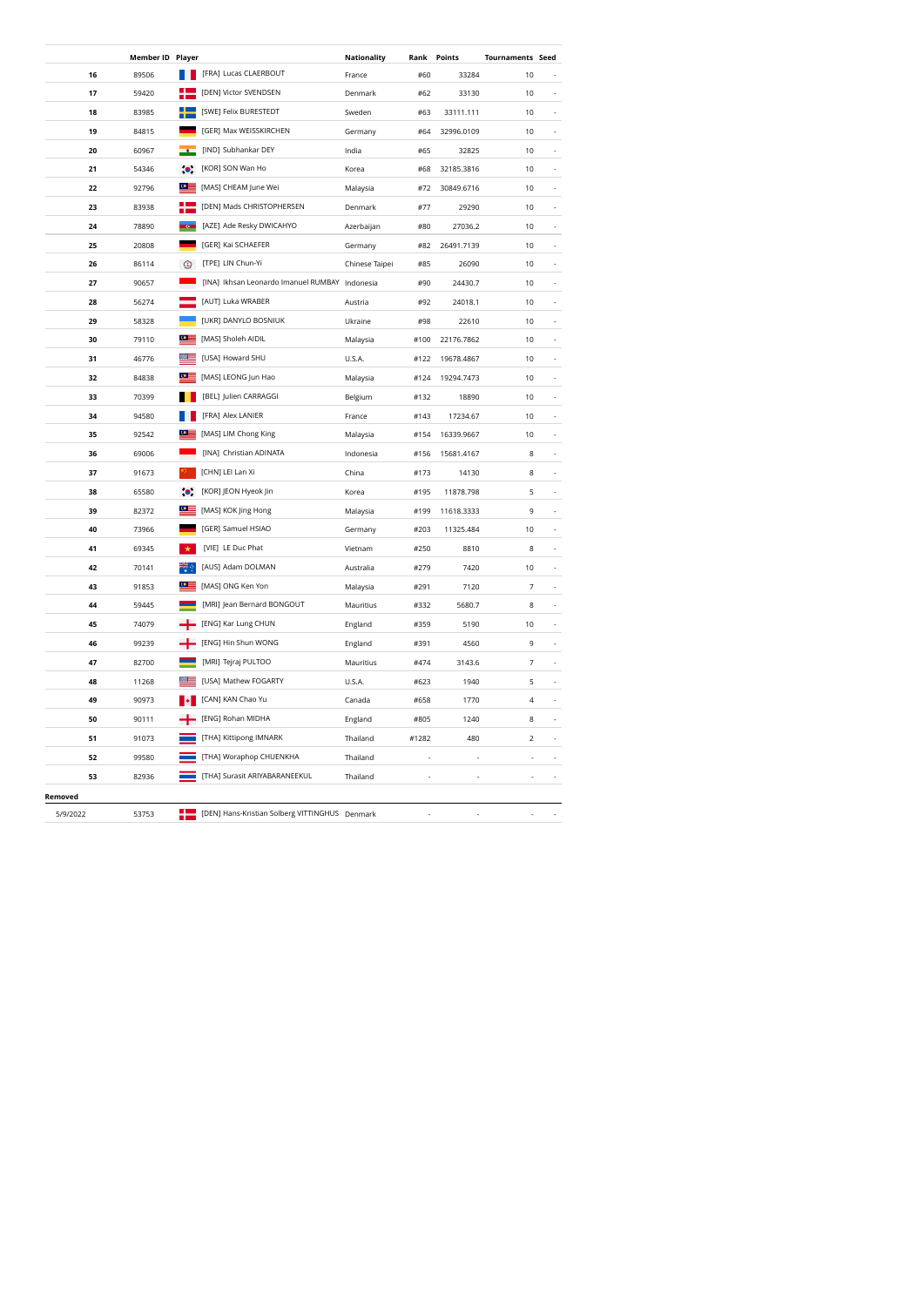|          | Member ID Player |            |                                                | Nationality    | Rank  | Points     | <b>Tournaments Seed</b> |    |
|----------|------------------|------------|------------------------------------------------|----------------|-------|------------|-------------------------|----|
| 16       | 89506            |            | [FRA] Lucas CLAERBOUT                          | France         | #60   | 33284      | 10                      |    |
| 17       | 59420            |            | [DEN] Victor SVENDSEN                          | Denmark        | #62   | 33130      | 10                      |    |
| 18       | 83985            |            | [SWE] Felix BURESTEDT                          | Sweden         | #63   | 33111.111  | 10                      |    |
| 19       | 84815            |            | [GER] Max WEISSKIRCHEN                         | Germany        | #64   | 32996.0109 | 10                      |    |
| 20       | 60967            |            | [IND] Subhankar DEY                            | India          | #65   | 32825      | 10                      |    |
| 21       | 54346            | $\bullet$  | [KOR] SON Wan Ho                               | Korea          | #68   | 32185.3816 | 10                      |    |
| 22       | 92796            |            | [MAS] CHEAM June Wei                           | Malaysia       | #72   | 30849.6716 | 10                      |    |
| 23       | 83938            |            | [DEN] Mads CHRISTOPHERSEN                      | Denmark        | #77   | 29290      | 10                      |    |
| 24       | 78890            |            | [AZE] Ade Resky DWICAHYO                       | Azerbaijan     | #80   | 27036.2    | 10                      | ä, |
| 25       | 20808            |            | [GER] Kai SCHAEFER                             | Germany        | #82   | 26491.7139 | 10                      |    |
| 26       | 86114            | ⊚          | [TPE] LIN Chun-Yi                              | Chinese Taipei | #85   | 26090      | 10                      |    |
| 27       | 90657            |            | [INA] Ikhsan Leonardo Imanuel RUMBAY Indonesia |                | #90   | 24430.7    | 10                      |    |
| 28       | 56274            |            | [AUT] Luka WRABER                              | Austria        | #92   | 24018.1    | 10                      |    |
| 29       | 58328            |            | [UKR] DANYLO BOSNIUK                           | Ukraine        | #98   | 22610      | 10                      |    |
| 30       | 79110            | $^{\circ}$ | [MAS] Sholeh AIDIL                             | Malaysia       | #100  | 22176.7862 | 10                      | ä, |
| 31       | 46776            |            | [USA] Howard SHU                               | U.S.A.         | #122  | 19678.4867 | 10                      |    |
| 32       | 84838            | $\bullet$  | [MAS] LEONG Jun Hao                            | Malaysia       | #124  | 19294.7473 | 10                      |    |
| 33       | 70399            |            | [BEL] Julien CARRAGGI                          | Belgium        | #132  | 18890      | 10                      |    |
| 34       | 94580            |            | [FRA] Alex LANIER                              | France         | #143  | 17234.67   | 10                      |    |
| 35       | 92542            |            | [MAS] LIM Chong King                           | Malaysia       | #154  | 16339.9667 | 10                      |    |
| 36       | 69006            |            | [INA] Christian ADINATA                        | Indonesia      | #156  | 15681.4167 | 8                       |    |
| 37       | 91673            |            | [CHN] LEI Lan Xi                               | China          | #173  | 14130      | 8                       |    |
| 38       | 65580            | $\bullet$  | [KOR] JEON Hyeok Jin                           | Korea          | #195  | 11878.798  | 5                       |    |
| 39       | 82372            |            | [MAS] KOK Jing Hong                            | Malaysia       | #199  | 11618.3333 | 9                       |    |
| 40       | 73966            |            | [GER] Samuel HSIAO                             | Germany        | #203  | 11325.484  | 10                      |    |
| 41       | 69345            |            | [VIE] LE Duc Phat                              | Vietnam        | #250  | 8810       | 8                       |    |
| 42       | 70141            |            | [AUS] Adam DOLMAN                              | Australia      | #279  | 7420       | 10                      | ä, |
| 43       | 91853            | $\circ$    | [MAS] ONG Ken Yon                              | Malaysia       | #291  | 7120       | 7                       |    |
| 44       | 59445            |            | [MRI] Jean Bernard BONGOUT                     | Mauritius      | #332  | 5680.7     | 8                       |    |
| 45       | 74079            |            | [ENG] Kar Lung CHUN                            | England        | #359  | 5190       | 10                      | ä, |
| 46       | 99239            |            | [ENG] Hin Shun WONG                            | England        | #391  | 4560       | 9                       |    |
| 47       | 82700            |            | [MRI] Tejraj PULTOO                            | Mauritius      | #474  | 3143.6     | 7                       |    |
| 48       | 11268            |            | [USA] Mathew FOGARTY                           | U.S.A.         | #623  | 1940       | 5                       | ä, |
| 49       | 90973            |            | [CAN] KAN Chao Yu                              | Canada         | #658  | 1770       | 4                       |    |
| 50       | 90111            |            | [ENG] Rohan MIDHA                              | England        | #805  | 1240       | 8                       |    |
| 51       | 91073            |            | [THA] Kittipong IMNARK                         | Thailand       | #1282 | 480        | $\mathbf 2$             |    |
| 52       | 99580            |            | [THA] Woraphop CHUENKHA                        | Thailand       |       |            |                         |    |
| 53       | 82936            |            | [THA] Surasit ARIYABARANEEKUL                  | Thailand       |       |            |                         |    |
| Removed  |                  |            |                                                |                |       |            |                         |    |
| 5/9/2022 | 53753            | 42         | [DEN] Hans-Kristian Solberg VITTINGHUS Denmark |                |       |            |                         |    |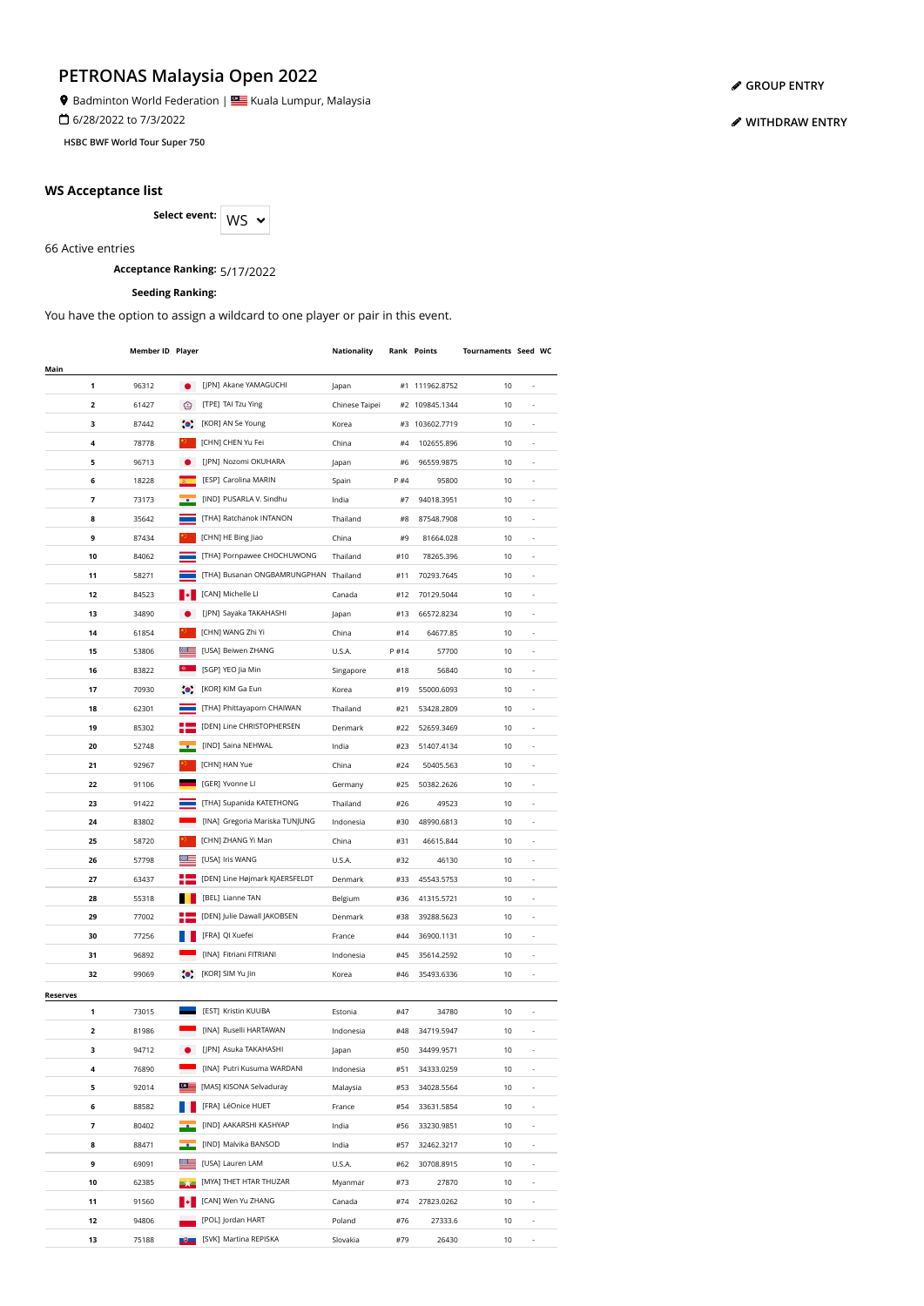Badminton World Federation | **Star** Kuala Lumpur, Malaysia

6/28/2022 to 7/3/2022

**HSBC BWF World Tour Super 750**

#### **WS Acceptance list**

Select event: WS  $\sim$ 

66 Active entries

**Acceptance Ranking:** 5/17/2022

## **Seeding Ranking:**

You have the option to assign a wildcard to one player or pair in this event.

|                 | Member ID Player |                         |                                       | Nationality    |       | <b>Rank Points</b> | Tournaments Seed WC |                          |  |
|-----------------|------------------|-------------------------|---------------------------------------|----------------|-------|--------------------|---------------------|--------------------------|--|
| Main            |                  |                         |                                       |                |       |                    |                     |                          |  |
| 1               | 96312            | $\bullet$               | [JPN] Akane YAMAGUCHI                 | Japan          |       | #1 111962.8752     | 10                  | ä,                       |  |
| 2               | 61427            | ⊛                       | [TPE] TAI Tzu Ying                    | Chinese Taipei |       | #2 109845.1344     | 10                  |                          |  |
| з               | 87442            | $\bullet$ .             | [KOR] AN Se Young                     | Korea          |       | #3 103602.7719     | 10                  |                          |  |
| 4               | 78778            |                         | [CHN] CHEN Yu Fei                     | China          | #4    | 102655.896         | 10                  |                          |  |
| 5               | 96713            |                         | [JPN] Nozomi OKUHARA                  | Japan          | #6    | 96559.9875         | 10                  | $\overline{\phantom{a}}$ |  |
| 6               | 18228            |                         | [ESP] Carolina MARIN                  | Spain          | P #4  | 95800              | 10                  | $\overline{\phantom{a}}$ |  |
| 7               | 73173            |                         | [IND] PUSARLA V. Sindhu               | India          | #7    | 94018.3951         | 10                  | ÷,                       |  |
| 8               | 35642            |                         | [THA] Ratchanok INTANON               | Thailand       | #8    | 87548.7908         | 10                  | ÷,                       |  |
| 9               | 87434            |                         | [CHN] HE Bing Jiao                    | China          | #9    | 81664.028          | 10                  | ä,                       |  |
| 10              | 84062            |                         | [THA] Pornpawee CHOCHUWONG            | Thailand       | #10   | 78265.396          | 10                  |                          |  |
| 11              | 58271            |                         | [THA] Busanan ONGBAMRUNGPHAN Thailand |                | #11   | 70293.7645         | 10                  |                          |  |
| 12              | 84523            |                         | [CAN] Michelle LI                     | Canada         | #12   | 70129.5044         | 10                  |                          |  |
| 13              | 34890            |                         | [JPN] Sayaka TAKAHASHI                |                | #13   | 66572.8234         | 10                  | ä,                       |  |
| 14              | 61854            |                         | [CHN] WANG Zhi Yi                     | Japan          | #14   |                    |                     |                          |  |
|                 |                  |                         | [USA] Beiwen ZHANG                    | China          |       | 64677.85           | 10                  |                          |  |
| 15              | 53806            |                         |                                       | U.S.A.         | P #14 | 57700              | 10                  |                          |  |
| 16              | 83822            |                         | [SGP] YEO Jia Min                     | Singapore      | #18   | 56840              | 10                  |                          |  |
| 17              | 70930            | $\bullet$ .             | [KOR] KIM Ga Eun                      | Korea          | #19   | 55000.6093         | 10                  | ٠                        |  |
| 18              | 62301            |                         | [THA] Phittayaporn CHAIWAN            | Thailand       | #21   | 53428.2809         | 10                  | $\overline{a}$           |  |
| 19              | 85302            |                         | [DEN] Line CHRISTOPHERSEN             | Denmark        | #22   | 52659.3469         | 10                  | $\overline{a}$           |  |
| 20              | 52748            |                         | [IND] Saina NEHWAL                    | India          | #23   | 51407.4134         | 10                  | ÷,                       |  |
| 21              | 92967            |                         | [CHN] HAN Yue                         | China          | #24   | 50405.563          | 10                  | ÷,                       |  |
| 22              | 91106            |                         | [GER] Yvonne Ll                       | Germany        | #25   | 50382.2626         | 10                  | ÷,                       |  |
| 23              | 91422            |                         | [THA] Supanida KATETHONG              | Thailand       | #26   | 49523              | 10                  |                          |  |
| 24              | 83802            |                         | [INA] Gregoria Mariska TUNJUNG        | Indonesia      | #30   | 48990.6813         | 10                  |                          |  |
| 25              | 58720            |                         | [CHN] ZHANG Yi Man                    | China          | #31   | 46615.844          | 10                  |                          |  |
| 26              | 57798            |                         | [USA] Iris WANG                       | U.S.A.         | #32   | 46130              | 10                  |                          |  |
| 27              | 63437            |                         | [DEN] Line Højmark KJAERSFELDT        | Denmark        | #33   | 45543.5753         | 10                  |                          |  |
| 28              | 55318            |                         | [BEL] Lianne TAN                      | Belgium        | #36   | 41315.5721         | 10                  |                          |  |
| 29              | 77002            |                         | [DEN] Julie Dawall JAKOBSEN           | Denmark        | #38   | 39288.5623         | 10                  |                          |  |
| 30              | 77256            |                         | [FRA] QI Xuefei                       | France         | #44   | 36900.1131         | 10                  |                          |  |
| 31              | 96892            |                         | [INA] Fitriani FITRIANI               | Indonesia      | #45   | 35614.2592         | 10                  |                          |  |
| 32              | 99069            | $\bullet$ .             | [KOR] SIM Yu Jin                      | Korea          | #46   | 35493.6336         | 10                  | $\overline{a}$           |  |
| <b>Reserves</b> |                  |                         |                                       |                |       |                    |                     |                          |  |
| 1               | 73015            |                         | [EST] Kristin KUUBA                   | Estonia        | #47   | 34780              | 10                  |                          |  |
| 2               | 81986            |                         | [INA] Ruselli HARTAWAN                | Indonesia      | #48   | 34719.5947         | 10                  |                          |  |
| 3               | 94712            |                         | [JPN] Asuka TAKAHASHI                 | Japan          | #50   | 34499.9571         | 10                  |                          |  |
| 4               | 76890            |                         | [INA] Putri Kusuma WARDANI            | Indonesia      | #51   | 34333.0259         | 10                  |                          |  |
| 5               | 92014            | ≌                       | [MAS] KISONA Selvaduray               | Malaysia       | #53   | 34028.5564         | 10                  |                          |  |
|                 |                  |                         | [FRA] LéOnice HUET                    |                |       |                    |                     |                          |  |
| 6               | 88582            |                         |                                       | France         | #54   | 33631.5854         | 10                  | ÷,                       |  |
| 7               | 80402            |                         | [IND] AAKARSHI KASHYAP                | India          | #56   | 33230.9851         | 10                  | ÷,                       |  |
| 8               | 88471            |                         | [IND] Malvika BANSOD                  | India          | #57   | 32462.3217         | 10                  |                          |  |
| 9               | 69091            | ≡≅                      | [USA] Lauren LAM                      | U.S.A.         | #62   | 30708.8915         | 10                  | ÷                        |  |
| 10              | 62385            |                         | [MYA] THET HTAR THUZAR                | Myanmar        | #73   | 27870              | 10                  | ٠                        |  |
| 11              | 91560            |                         | [CAN] Wen Yu ZHANG                    | Canada         | #74   | 27823.0262         | 10                  | $\overline{\phantom{a}}$ |  |
| 12              | 94806            |                         | [POL] Jordan HART                     | Poland         | #76   | 27333.6            | 10                  | ٠                        |  |
| 13              | 75188            | $\overline{\mathbf{0}}$ | [SVK] Martina REPISKA                 | Slovakia       | #79   | 26430              | 10                  | $\overline{\phantom{a}}$ |  |

**[GROUP ENTRY](https://bwf.tournamentsoftware.com/individual-entry/54664723-055E-4136-8351-22359B769E39)**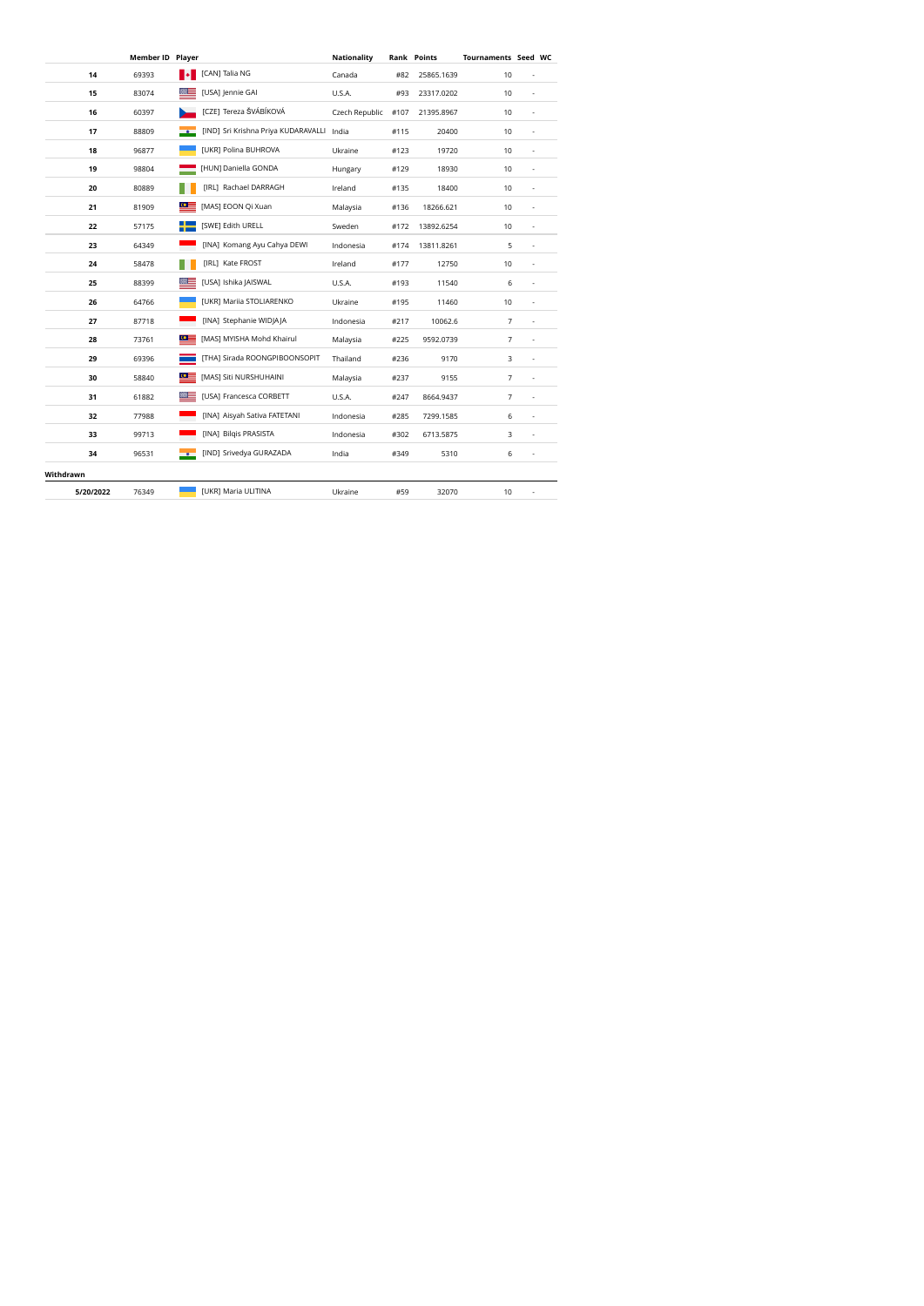|           | <b>Member ID Player</b> |                  |                                     | <b>Nationality</b> |      | <b>Rank Points</b> | <b>Tournaments Seed WC</b> |                          |  |
|-----------|-------------------------|------------------|-------------------------------------|--------------------|------|--------------------|----------------------------|--------------------------|--|
| 14        | 69393                   | l J              | [CAN] Talia NG                      | Canada             | #82  | 25865.1639         | 10                         |                          |  |
| 15        | 83074                   |                  | [USA] Jennie GAI                    | U.S.A.             | #93  | 23317.0202         | 10                         | ×,                       |  |
| 16        | 60397                   |                  | [CZE] Tereza ŠVÁBÍKOVÁ              | Czech Republic     | #107 | 21395.8967         | 10                         | ٠                        |  |
| 17        | 88809                   |                  | [IND] Sri Krishna Priya KUDARAVALLI | India              | #115 | 20400              | 10                         | ٠                        |  |
| 18        | 96877                   |                  | [UKR] Polina BUHROVA                | Ukraine            | #123 | 19720              | 10                         | $\overline{\phantom{a}}$ |  |
| 19        | 98804                   |                  | [HUN] Daniella GONDA                | Hungary            | #129 | 18930              | 10                         | ٠                        |  |
| 20        | 80889                   |                  | [IRL] Rachael DARRAGH               | Ireland            | #135 | 18400              | 10                         | ×,                       |  |
| 21        | 81909                   | $\alpha$ =       | [MAS] EOON Qi Xuan                  | Malaysia           | #136 | 18266.621          | 10                         | ×,                       |  |
| 22        | 57175                   |                  | [SWE] Edith URELL                   | Sweden             | #172 | 13892.6254         | 10                         | ×,                       |  |
| 23        | 64349                   |                  | [INA] Komang Ayu Cahya DEWI         | Indonesia          | #174 | 13811.8261         | 5                          | ÷,                       |  |
| 24        | 58478                   |                  | [IRL] Kate FROST                    | Ireland            | #177 | 12750              | 10                         | ×,                       |  |
| 25        | 88399                   |                  | [USA] Ishika JAISWAL                | U.S.A.             | #193 | 11540              | 6                          | $\overline{\phantom{a}}$ |  |
| 26        | 64766                   |                  | [UKR] Mariia STOLIARENKO            | Ukraine            | #195 | 11460              | 10                         | $\overline{\phantom{a}}$ |  |
| 27        | 87718                   |                  | [INA] Stephanie WIDJAJA             | Indonesia          | #217 | 10062.6            | 7                          | $\overline{\phantom{a}}$ |  |
| 28        | 73761                   | ≌≣               | [MAS] MYISHA Mohd Khairul           | Malaysia           | #225 | 9592.0739          | $\overline{7}$             | ×,                       |  |
| 29        | 69396                   |                  | [THA] Sirada ROONGPIBOONSOPIT       | Thailand           | #236 | 9170               | 3                          | ×,                       |  |
| 30        | 58840                   | $\circ$ $\equiv$ | [MAS] Siti NURSHUHAINI              | Malaysia           | #237 | 9155               | 7                          | ä,                       |  |
| 31        | 61882                   |                  | [USA] Francesca CORBETT             | U.S.A.             | #247 | 8664.9437          | 7                          |                          |  |
| 32        | 77988                   |                  | [INA] Aisyah Sativa FATETANI        | Indonesia          | #285 | 7299.1585          | 6                          | ×,                       |  |
| 33        | 99713                   |                  | [INA] Bilgis PRASISTA               | Indonesia          | #302 | 6713.5875          | 3                          | ×,                       |  |
| 34        | 96531                   | $-60$            | [IND] Srivedya GURAZADA             | India              | #349 | 5310               | 6                          | ٠                        |  |
| Withdrawn |                         |                  |                                     |                    |      |                    |                            |                          |  |
| 5/20/2022 | 76349                   |                  | [UKR] Maria ULITINA                 | Ukraine            | #59  | 32070              | 10                         | $\overline{\phantom{a}}$ |  |
|           |                         |                  |                                     |                    |      |                    |                            |                          |  |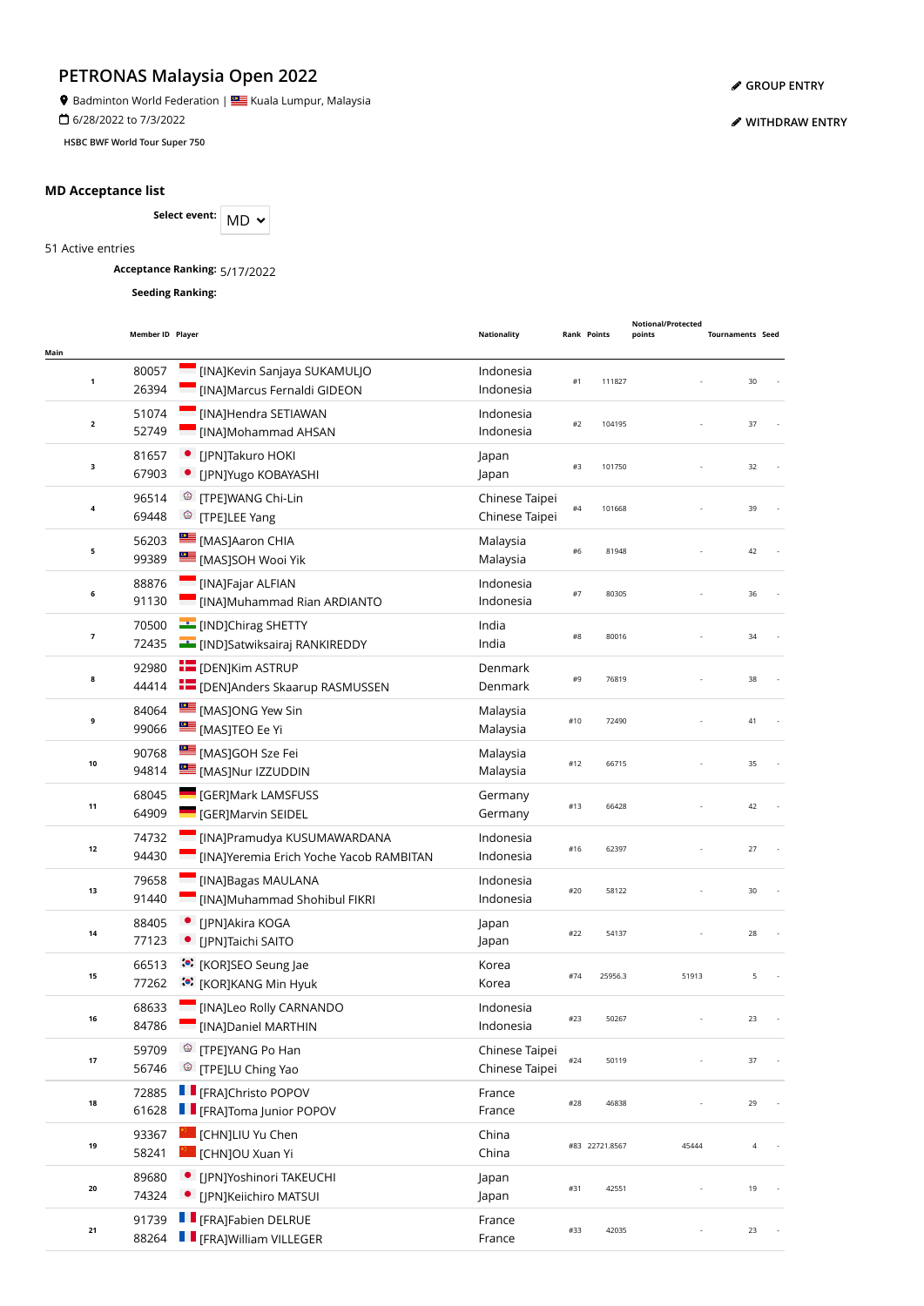**9** Badminton World Federation | **SALLA BEAD** Kuala Lumpur, Malaysia

6/28/2022 to 7/3/2022

**HSBC BWF World Tour Super 750**

## **MD Acceptance list**

Select event: MD  $\sim$ 

51 Active entries

**Acceptance Ranking:** 5/17/2022

**Seeding Ranking:**

| Main         | Member ID Player |                                                                                     | <b>Nationality</b>               | <b>Rank Points</b> |                | <b>Notional/Protected</b><br>points | <b>Tournaments Seed</b> |  |
|--------------|------------------|-------------------------------------------------------------------------------------|----------------------------------|--------------------|----------------|-------------------------------------|-------------------------|--|
| 1            | 80057<br>26394   | [INA]Kevin Sanjaya SUKAMULJO<br>[INA]Marcus Fernaldi GIDEON                         | Indonesia<br>Indonesia           | #1                 | 111827         |                                     | 30                      |  |
| $\mathbf{2}$ | 51074<br>52749   | [INA]Hendra SETIAWAN<br>[INA]Mohammad AHSAN                                         | Indonesia<br>Indonesia           | #2                 | 104195         |                                     | 37                      |  |
| 3            | 81657<br>67903   | [JPN]Takuro HOKI<br>· [JPN]Yugo KOBAYASHI                                           | Japan<br>Japan                   | #3                 | 101750         |                                     | 32                      |  |
| 4            | 96514<br>69448   | <sup>®</sup> [TPE]WANG Chi-Lin<br><sup>©</sup> [TPE]LEE Yang                        | Chinese Taipei<br>Chinese Taipei | #4                 | 101668         |                                     | 39                      |  |
| 5            | 56203<br>99389   | [MAS]Aaron CHIA<br>[MAS]SOH Wooi Yik                                                | Malaysia<br>Malaysia             | #6                 | 81948          |                                     | 42                      |  |
| 6            | 88876<br>91130   | [INA]Fajar ALFIAN<br>[INA]Muhammad Rian ARDIANTO                                    | Indonesia<br>Indonesia           | #7                 | 80305          |                                     | 36                      |  |
| 7            | 70500<br>72435   | [IND]Chirag SHETTY<br><b>EL [IND]Satwiksairaj RANKIREDDY</b>                        | India<br>India                   | #8                 | 80016          |                                     | 34                      |  |
| 8            | 92980<br>44414   | <b>E</b> [DEN]Kim ASTRUP<br><b>EDENJAnders Skaarup RASMUSSEN</b>                    | Denmark<br>Denmark               | #9                 | 76819          |                                     | 38                      |  |
| 9            | 84064<br>99066   | MASJONG Yew Sin<br><b>EMASJTEO Ee Yi</b>                                            | Malaysia<br>Malaysia             | #10                | 72490          |                                     | 41                      |  |
| 10           | 90768<br>94814   | MASJGOH Sze Fei<br>[MAS]Nur IZZUDDIN                                                | Malaysia<br>Malaysia             | #12                | 66715          |                                     | 35                      |  |
| 11           | 68045<br>64909   | <b>GERJMark LAMSFUSS</b><br>[GER]Marvin SEIDEL                                      | Germany<br>Germany               | #13                | 66428          |                                     | 42                      |  |
| 12           | 74732<br>94430   | [INA]Pramudya KUSUMAWARDANA<br>[INA]Yeremia Erich Yoche Yacob RAMBITAN              | Indonesia<br>Indonesia           | #16                | 62397          |                                     | 27                      |  |
| 13           | 79658<br>91440   | [INA]Bagas MAULANA<br>[INA]Muhammad Shohibul FIKRI                                  | Indonesia<br>Indonesia           | #20                | 58122          |                                     | 30                      |  |
| 14           | 88405<br>77123   | [JPN]Akira KOGA<br>[JPN]Taichi SAITO                                                | Japan<br>Japan                   | #22                | 54137          |                                     | 28                      |  |
| 15           | 66513<br>77262   | <b><sup>(a)</sup></b> [KOR]SEO Seung Jae<br><b><sup>**</sup></b> [KOR]KANG Min Hyuk | Korea<br>Korea                   | #74                | 25956.3        | 51913                               | 5                       |  |
| 16           | 68633<br>84786   | <b>I</b> [INA]Leo Rolly CARNANDO<br>[INA]Daniel MARTHIN                             | Indonesia<br>Indonesia           | #23                | 50267          |                                     | 23                      |  |
| 17           | 59709<br>56746   | <sup>©</sup> [TPE]YANG Po Han<br><sup>3</sup> [TPE]LU Ching Yao                     | Chinese Taipei<br>Chinese Taipei | #24                | 50119          |                                     | 37                      |  |
| 18           | 72885<br>61628   | <b>Filter</b> [FRA]Christo POPOV<br><b>F</b> [FRA]Toma Junior POPOV                 | France<br>France                 | #28                | 46838          |                                     | 29                      |  |
| 19           | 93367<br>58241   | [CHN]LIU Yu Chen<br>I [CHN]OU Xuan Yi                                               | China<br>China                   |                    | #83 22721.8567 | 45444                               | $\overline{4}$          |  |
| 20           | 89680<br>74324   | • [JPN]Yoshinori TAKEUCHI<br>· [JPN]Keiichiro MATSUI                                | Japan<br>Japan                   | #31                | 42551          |                                     | 19                      |  |
| 21           | 91739<br>88264   | <b>Filter</b> [FRA]Fabien DELRUE<br><b>F</b> [FRA]William VILLEGER                  | France<br>France                 | #33                | 42035          |                                     | 23                      |  |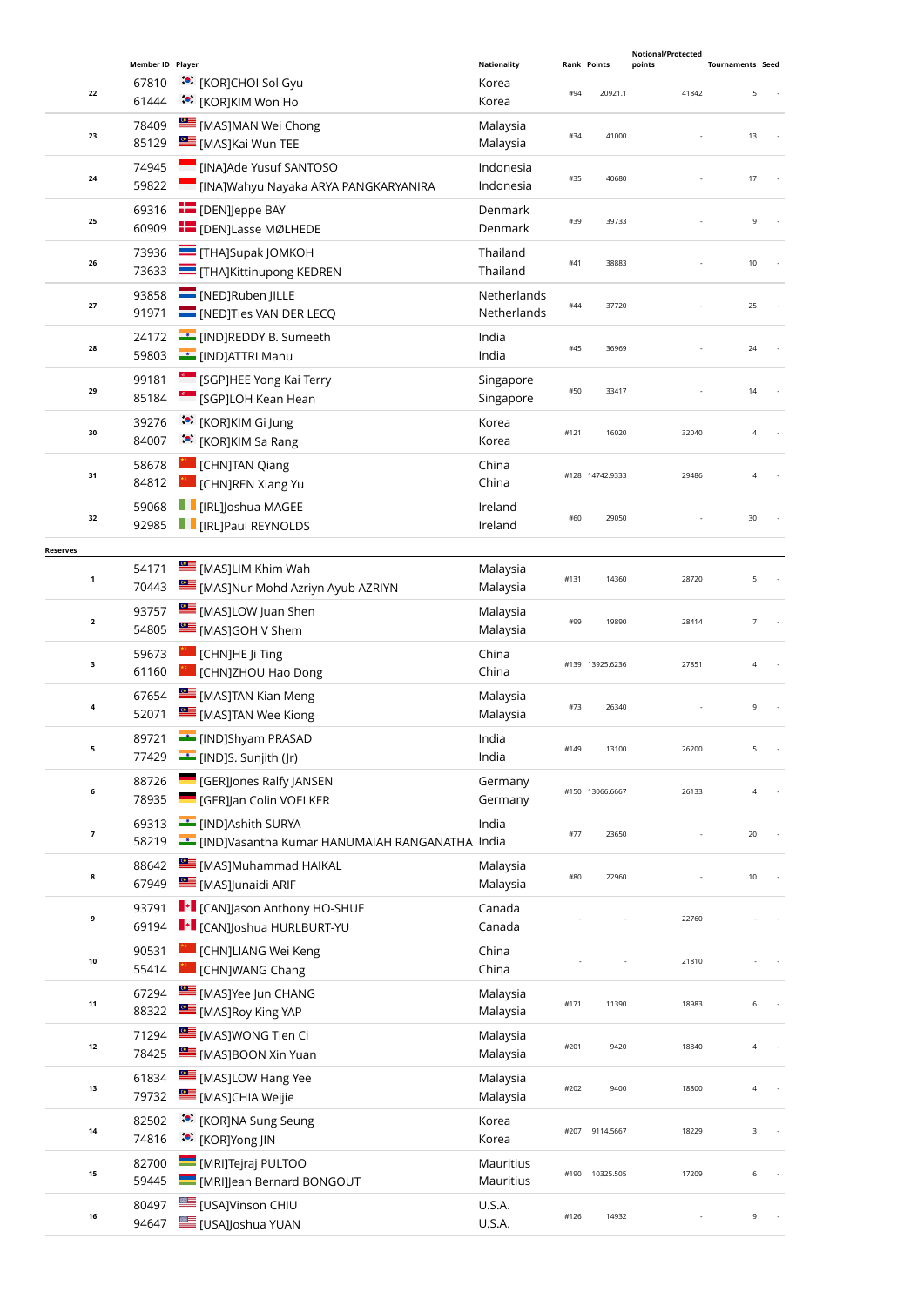|                 |                         |                  |                                                                              |                            |      |                    | <b>Notional/Protected</b> |                         |  |
|-----------------|-------------------------|------------------|------------------------------------------------------------------------------|----------------------------|------|--------------------|---------------------------|-------------------------|--|
|                 |                         | Member ID Player |                                                                              | <b>Nationality</b>         |      | <b>Rank Points</b> | points                    | <b>Tournaments Seed</b> |  |
|                 | 22                      | 67810<br>61444   | :•: [KOR]CHOI Sol Gyu<br>ं•ें [KOR]KIM Won Ho                                | Korea<br>Korea             | #94  | 20921.1            | 41842                     | 5                       |  |
|                 | 23                      | 78409<br>85129   | [MAS]MAN Wei Chong<br>[MAS]Kai Wun TEE                                       | Malaysia<br>Malaysia       | #34  | 41000              |                           | 13                      |  |
|                 | 24                      | 74945<br>59822   | [INA]Ade Yusuf SANTOSO<br>[INA]Wahyu Nayaka ARYA PANGKARYANIRA               | Indonesia<br>Indonesia     | #35  | 40680              |                           | 17                      |  |
|                 | 25                      | 69316<br>60909   | <b>EDENJeppe BAY</b><br><b>E</b> [DEN]Lasse MØLHEDE                          | Denmark<br>Denmark         | #39  | 39733              |                           | 9                       |  |
|                 | 26                      | 73936<br>73633   | <b>THAJSupak JOMKOH</b><br><b>THAJKittinupong KEDREN</b>                     | Thailand<br>Thailand       | #41  | 38883              |                           | 10                      |  |
|                 | 27                      | 93858<br>91971   | $\blacksquare$ [NED]Ruben JILLE<br>[NED]Ties VAN DER LECQ                    | Netherlands<br>Netherlands | #44  | 37720              |                           | 25                      |  |
|                 | 28                      | 24172<br>59803   | [IND]REDDY B. Sumeeth<br><b>CONTERNATION CONTERNATION</b>                    | India<br>India             | #45  | 36969              |                           | 24                      |  |
|                 | 29                      | 99181<br>85184   | [SGP]HEE Yong Kai Terry<br>[SGP]LOH Kean Hean                                | Singapore<br>Singapore     | #50  | 33417              |                           | 14                      |  |
|                 | 30                      | 39276<br>84007   | :•: [KOR]KIM Gi Jung<br>:• [KOR]KIM Sa Rang                                  | Korea<br>Korea             | #121 | 16020              | 32040                     | $\overline{4}$          |  |
|                 | 31                      | 58678<br>84812   | <b>CHNJTAN Qiang</b><br>CHNJREN Xiang Yu                                     | China<br>China             |      | #128 14742.9333    | 29486                     | 4                       |  |
|                 | 32                      | 59068<br>92985   | <b>I</b> [IRL]Joshua MAGEE<br><b>THE IRL JPaul REYNOLDS</b>                  | Ireland<br>Ireland         | #60  | 29050              |                           | 30                      |  |
|                 |                         |                  |                                                                              |                            |      |                    |                           |                         |  |
| <b>Reserves</b> | $\mathbf{1}$            | 54171<br>70443   | [MAS]LIM Khim Wah<br>MASJNur Mohd Azriyn Ayub AZRIYN                         | Malaysia<br>Malaysia       | #131 | 14360              | 28720                     | 5                       |  |
|                 | $\overline{\mathbf{2}}$ | 93757<br>54805   | MASJLOW Juan Shen<br>[MAS]GOH V Shem                                         | Malaysia<br>Malaysia       | #99  | 19890              | 28414                     | 7                       |  |
|                 | 3                       | 59673<br>61160   | [CHN]HE Ji Ting<br>CHN]ZHOU Hao Dong                                         | China<br>China             |      | #139 13925.6236    | 27851                     | $\overline{4}$          |  |
|                 | 4                       | 67654<br>52071   | [MAS]TAN Kian Meng<br>[MAS]TAN Wee Kiong                                     | Malaysia<br>Malaysia       | #73  | 26340              |                           | 9                       |  |
|                 | 5                       | 89721<br>77429   | <b>FINDIShyam PRASAD</b><br>[IND]S. Sunjith (Jr)                             | India<br>India             | #149 | 13100              | 26200                     | 5                       |  |
|                 | 6                       | 88726<br>78935   | <b>GER]Jones Ralfy JANSEN</b><br><b>GER]Jan Colin VOELKER</b>                | Germany<br>Germany         |      | #150 13066.6667    | 26133                     | $\sqrt{4}$              |  |
|                 | $\overline{\mathbf{z}}$ | 69313<br>58219   | <b>ED</b> [IND]Ashith SURYA<br>IND]Vasantha Kumar HANUMAIAH RANGANATHA India | India                      | #77  | 23650              |                           | $20\,$                  |  |
|                 | 8                       | 88642<br>67949   | [MAS]Muhammad HAIKAL<br>[MAS]Junaidi ARIF                                    | Malaysia<br>Malaysia       | #80  | 22960              |                           | 10                      |  |
|                 | 9                       | 93791<br>69194   | I · I [CAN] Jason Anthony HO-SHUE<br>I + [CAN]Joshua HURLBURT-YU             | Canada<br>Canada           |      |                    | 22760                     |                         |  |
|                 | 10                      | 90531<br>55414   | <b>CHN]LIANG Wei Keng</b><br>[CHN]WANG Chang                                 | China<br>China             |      |                    | 21810                     |                         |  |
|                 | 11                      | 67294<br>88322   | MASJYee Jun CHANG<br>[MAS]Roy King YAP                                       | Malaysia<br>Malaysia       | #171 | 11390              | 18983                     | 6                       |  |
|                 | $12$                    | 71294<br>78425   | MASJWONG Tien Ci<br>[MAS]BOON Xin Yuan                                       | Malaysia<br>Malaysia       | #201 | 9420               | 18840                     | 4                       |  |
|                 | 13                      | 61834<br>79732   | [MAS]LOW Hang Yee<br>[MAS]CHIA Weijie                                        | Malaysia<br>Malaysia       | #202 | 9400               | 18800                     | 4                       |  |
|                 | 14                      | 82502<br>74816   | :•: [KOR]NA Sung Seung<br><b><sup>*●</sup></b> [KOR]Yong JIN                 | Korea<br>Korea             | #207 | 9114.5667          | 18229                     | 3                       |  |
|                 | 15                      | 82700<br>59445   | MRIJTejraj PULTOO<br>[MRI]Jean Bernard BONGOUT                               | Mauritius<br>Mauritius     | #190 | 10325.505          | 17209                     | 6                       |  |
|                 | 16                      | 80497<br>94647   | <b>USAJVinson CHIU</b><br>[USA]Joshua YUAN                                   | U.S.A.<br>U.S.A.           | #126 | 14932              |                           | 9                       |  |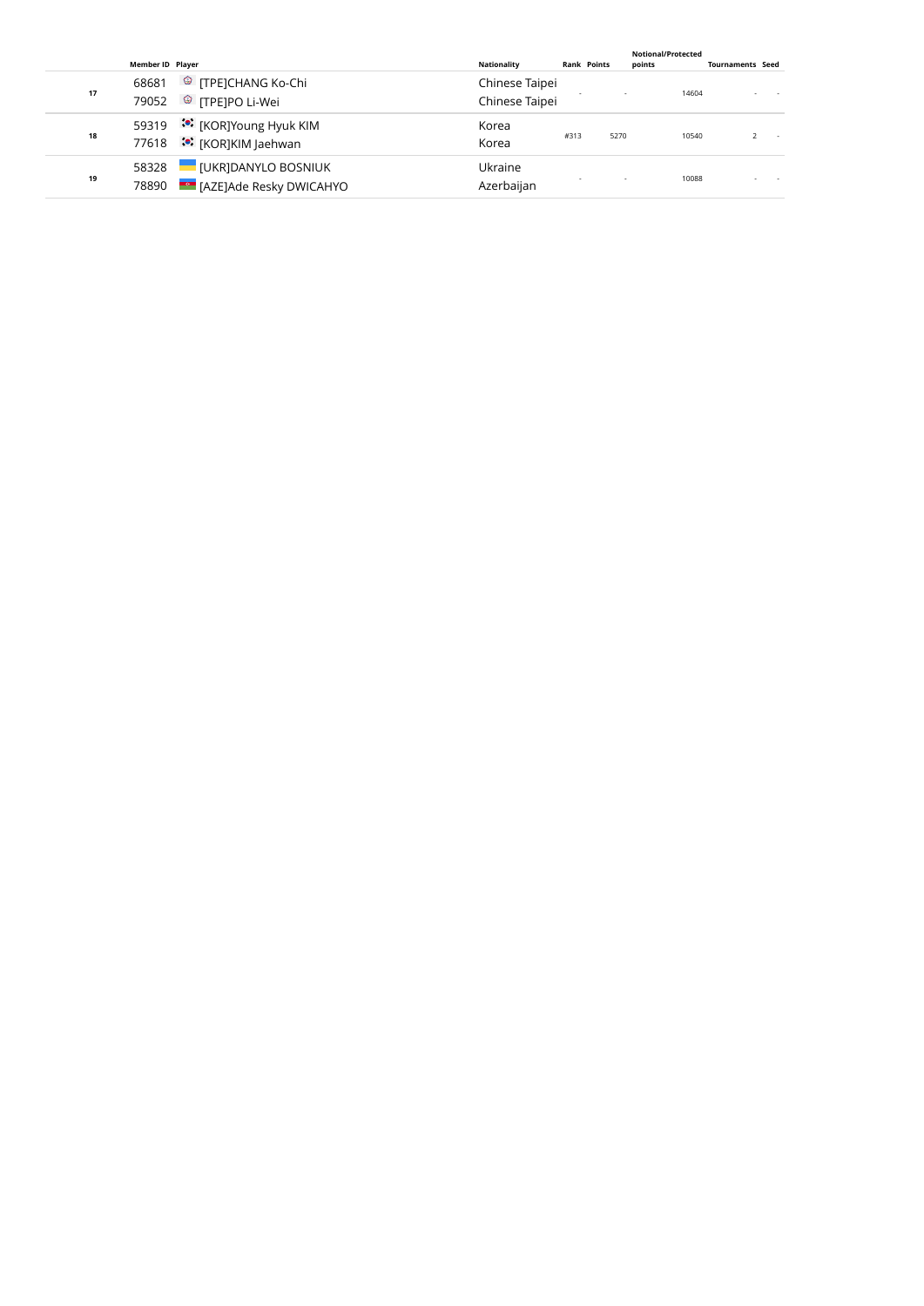|    |                         |                                                                          |                                  |      |                    | <b>Notional/Protected</b> |       |                         |  |
|----|-------------------------|--------------------------------------------------------------------------|----------------------------------|------|--------------------|---------------------------|-------|-------------------------|--|
|    | <b>Member ID Player</b> |                                                                          | <b>Nationality</b>               |      | <b>Rank Points</b> | points                    |       | <b>Tournaments Seed</b> |  |
| 17 | 68681<br>79052          | <sup>©</sup> [TPE]CHANG Ko-Chi<br><sup><sup>3</sup> [TPE]PO Li-Wei</sup> | Chinese Taipei<br>Chinese Taipei |      |                    |                           | 14604 |                         |  |
| 18 | 59319<br>77618          | ं•ें [KOR]Young Hyuk KIM<br><u>••</u> [KOR]KIM Jaehwan]                  | Korea<br>Korea                   | #313 | 5270               |                           | 10540 |                         |  |
| 19 | 58328<br>78890          | <b>IUKRIDANYLO BOSNIUK</b><br><b>EGO</b> [AZE]Ade Resky DWICAHYO         | Ukraine<br>Azerbaijan            |      |                    |                           | 10088 |                         |  |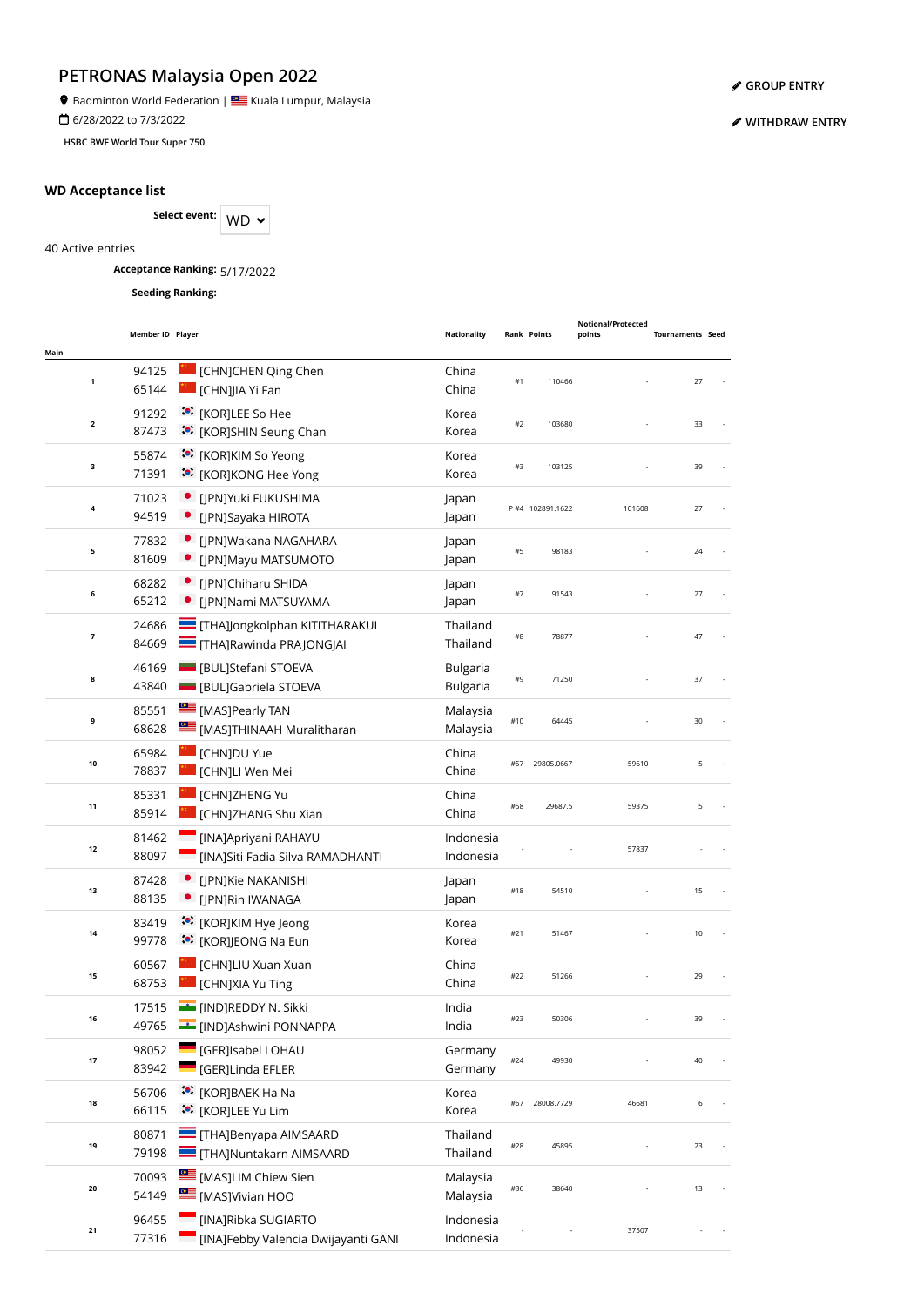**9** Badminton World Federation | **SALLA BEAD** Kuala Lumpur, Malaysia

6/28/2022 to 7/3/2022

**HSBC BWF World Tour Super 750**

## **WD Acceptance list**

Select event: WD  $\sim$ 

40 Active entries

**Acceptance Ranking:** 5/17/2022

**Seeding Ranking:**

|              | Member ID Player |                                       | <b>Nationality</b> |       | <b>Rank Points</b> | Notional/Protected<br>points | <b>Tournaments Seed</b> |  |
|--------------|------------------|---------------------------------------|--------------------|-------|--------------------|------------------------------|-------------------------|--|
| Main         |                  |                                       |                    |       |                    |                              |                         |  |
| 1            | 94125            | [CHN]CHEN Qing Chen                   | China              | #1    | 110466             |                              | 27                      |  |
|              | 65144            | I [CHN]JIA Yi Fan                     | China              |       |                    |                              |                         |  |
| $\mathbf{2}$ | 91292            | <b><sup>**</sup></b> [KOR]LEE So Hee  | Korea              | #2    | 103680             |                              | 33                      |  |
|              | 87473            | :•: [KOR]SHIN Seung Chan              | Korea              |       |                    |                              |                         |  |
| 3            | 55874            | :•: [KOR]KIM So Yeong                 | Korea              | #3    | 103125             |                              | 39                      |  |
|              | 71391            | :•: [KOR]KONG Hee Yong                | Korea              |       |                    |                              |                         |  |
| 4            | 71023            | · [JPN]Yuki FUKUSHIMA                 | Japan              |       | P #4 102891.1622   | 101608                       | 27                      |  |
|              | 94519            | [JPN]Sayaka HIROTA                    | Japan              |       |                    |                              |                         |  |
| 5            | 77832            | [JPN]Wakana NAGAHARA                  | Japan              | #5    | 98183              |                              | 24                      |  |
|              | 81609            | • [JPN]Mayu MATSUMOTO                 | Japan              |       |                    |                              |                         |  |
| 6            | 68282            | [JPN]Chiharu SHIDA                    | Japan              | #7    | 91543              |                              | 27                      |  |
|              | 65212            | [JPN]Nami MATSUYAMA                   | Japan              |       |                    |                              |                         |  |
| 7            | 24686            | <b>THA]Jongkolphan KITITHARAKUL</b>   | Thailand           | $\#8$ | 78877              |                              | 47                      |  |
|              | 84669            | <b>THA]Rawinda PRAJONGJAI</b>         | Thailand           |       |                    |                              |                         |  |
| 8            | 46169            | <b>BUL</b> ]Stefani STOEVA            | <b>Bulgaria</b>    | #9    | 71250              |                              | 37                      |  |
|              | 43840            | <b>BULJGabriela STOEVA</b>            | <b>Bulgaria</b>    |       |                    |                              |                         |  |
| 9            | 85551            | MASJPearly TAN                        | Malaysia           | #10   | 64445              |                              | 30                      |  |
|              | 68628            | [MAS]THINAAH Muralitharan             | Malaysia           |       |                    |                              |                         |  |
| 10           | 65984            | <b>CHNJDU Yue</b>                     | China              | #57   | 29805.0667         | 59610                        | 5                       |  |
|              | 78837            | <b>CHN]LI Wen Mei</b>                 | China              |       |                    |                              |                         |  |
| 11           | 85331            | <b>CHNJZHENG Yu</b>                   | China              | #58   | 29687.5            | 59375                        | 5                       |  |
|              | 85914            | [CHN]ZHANG Shu Xian                   | China              |       |                    |                              |                         |  |
| 12           | 81462            | [INA]Apriyani RAHAYU                  | Indonesia          |       |                    | 57837                        |                         |  |
|              | 88097            | [INA]Siti Fadia Silva RAMADHANTI      | Indonesia          |       |                    |                              |                         |  |
| 13           | 87428            | [JPN]Kie NAKANISHI                    | Japan              | #18   | 54510              |                              | 15                      |  |
|              | 88135            | [JPN]Rin IWANAGA                      | Japan              |       |                    |                              |                         |  |
| 14           | 83419            | :• [KOR]KIM Hye Jeong                 | Korea              | #21   | 51467              |                              | 10                      |  |
|              | 99778            | <sup>:</sup> [KOR]JEONG Na Eun        | Korea              |       |                    |                              |                         |  |
| 15           | 60567            | [CHN]LIU Xuan Xuan                    | China              | #22   | 51266              |                              | 29                      |  |
|              | 68753            | [CHN]XIA Yu Ting                      | China              |       |                    |                              |                         |  |
| 16           | 17515            | <b>EDDY N. Sikki</b>                  | India              | #23   |                    |                              |                         |  |
|              | 49765            | [IND]Ashwini PONNAPPA                 | India              |       | 50306              |                              |                         |  |
| 17           | 98052            | [GER]Isabel LOHAU                     | Germany            | #24   | 49930              |                              | 40                      |  |
|              | 83942            | [GER]Linda EFLER                      | Germany            |       |                    |                              |                         |  |
|              | 56706            | © [KOR]BAEK Ha Na                     | Korea              |       | 28008.7729         |                              | 6                       |  |
| 18           | 66115            | <b><sup>to</sup>:</b> [KOR]LEE Yu Lim | Korea              | #67   |                    | 46681                        |                         |  |
|              | 80871            | <b>THA]Benyapa AIMSAARD</b>           | Thailand           |       |                    |                              |                         |  |
| 19           | 79198            | <b>THAJNuntakarn AIMSAARD</b>         | Thailand           | #28   | 45895              |                              | 23                      |  |
|              | 70093            | <b>EXECUTE:</b> [MAS]LIM Chiew Sien   | Malaysia           |       |                    |                              |                         |  |
| 20           | 54149            | ≝<br>[MAS]Vivian HOO                  | Malaysia           | #36   | 38640              |                              | 13                      |  |
|              | 96455            | [INA]Ribka SUGIARTO                   | Indonesia          |       |                    |                              |                         |  |
| 21           | 77316            | [INA]Febby Valencia Dwijayanti GANI   | Indonesia          |       |                    | 37507                        |                         |  |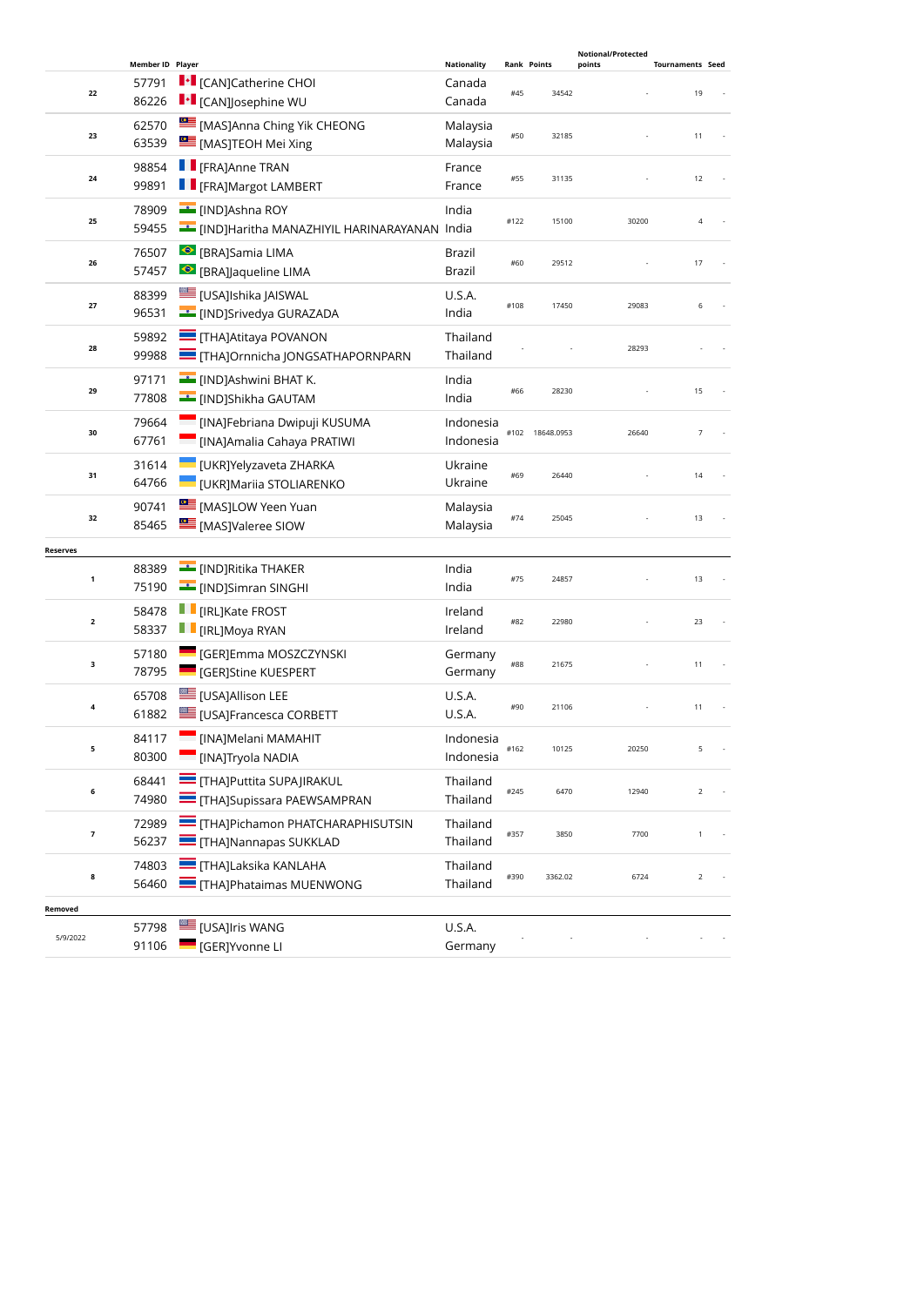|                 | Member ID Player |                                                                | <b>Nationality</b>   | <b>Rank Points</b> |                 | Notional/Protected<br>points | <b>Tournaments Seed</b> |
|-----------------|------------------|----------------------------------------------------------------|----------------------|--------------------|-----------------|------------------------------|-------------------------|
|                 | 57791            | I · [CAN]Catherine CHOI                                        | Canada               |                    |                 |                              |                         |
| 22              | 86226            | $\blacksquare\cdot\blacksquare$ [CAN]Josephine WU              | Canada               | #45                | 34542           |                              | 19                      |
|                 | 62570            | <b>EDITION</b> [MAS] Anna Ching Yik CHEONG                     |                      |                    |                 |                              |                         |
| 23              | 63539            | [MAS]TEOH Mei Xing                                             | Malaysia<br>Malaysia | #50                | 32185           |                              | 11                      |
|                 |                  | <b>F</b> [FRA]Anne TRAN                                        |                      |                    |                 |                              |                         |
| 24              | 98854<br>99891   | <b>TE</b> [FRA]Margot LAMBERT                                  | France<br>France     | #55                | 31135           |                              | 12                      |
|                 |                  |                                                                |                      |                    |                 |                              |                         |
| 25              | 78909            | <b>E</b> [IND]Ashna ROY                                        | India                | #122               | 15100           | 30200                        | $\overline{4}$          |
|                 | 59455            | EIND]Haritha MANAZHIYIL HARINARAYANAN India                    |                      |                    |                 |                              |                         |
| 26              | 76507            | ● [BRA]Samia LIMA                                              | Brazil               | #60                | 29512           |                              | 17                      |
|                 | 57457            | <b>S</b> [BRA]Jaqueline LIMA                                   | Brazil               |                    |                 |                              |                         |
| 27              | 88399            | <b>LE [USA]Ishika JAISWAL</b>                                  | U.S.A.               | #108               | 17450           | 29083                        | 6                       |
|                 | 96531            | <b>Example 19</b> [IND]Srivedya GURAZADA                       | India                |                    |                 |                              |                         |
| 28              | 59892            | <b>THAJAtitaya POVANON</b>                                     | Thailand             |                    |                 | 28293                        |                         |
|                 | 99988            | THA]Ornnicha JONGSATHAPORNPARN                                 | Thailand             |                    |                 |                              |                         |
| 29              | 97171            | INDJAshwini BHAT K.                                            | India                | #66                | 28230           |                              | 15                      |
|                 | 77808            | <b>Example 15</b> [IND]Shikha GAUTAM                           | India                |                    |                 |                              |                         |
|                 | 79664            | [INA]Febriana Dwipuji KUSUMA                                   | Indonesia            |                    |                 |                              |                         |
| 30              | 67761            | [INA]Amalia Cahaya PRATIWI                                     | Indonesia            |                    | #102 18648.0953 | 26640                        | $\overline{7}$          |
|                 | 31614            | <b>UKRJYelyzaveta ZHARKA</b>                                   | Ukraine              |                    |                 |                              |                         |
| 31              | 64766            | <b>UKR]Mariia STOLIARENKO</b>                                  | Ukraine              | #69                | 26440           |                              | 14                      |
|                 | 90741            | MASJLOW Yeen Yuan                                              | Malaysia             |                    |                 |                              |                         |
| 32              | 85465            | <b>EXECUTE:</b> [MAS]Valeree SIOW                              | Malaysia             | #74                | 25045           |                              | 13                      |
| <b>Reserves</b> |                  |                                                                |                      |                    |                 |                              |                         |
|                 | 88389            | <b>EXAMPLE THAKER</b>                                          | India                |                    |                 |                              |                         |
| $\mathbf 1$     | 75190            | [IND]Simran SINGHI                                             | India                | #75                | 24857           |                              | 13                      |
|                 | 58478            | <b>I</b> [IRL]Kate FROST                                       | Ireland              |                    |                 |                              |                         |
| $\mathbf{2}$    | 58337            | <b>F</b> [IRL]Moya RYAN                                        | Ireland              | #82                | 22980           |                              | 23                      |
|                 | 57180            | <b>E</b> [GER]Emma MOSZCZYNSKI                                 | Germany              |                    |                 |                              |                         |
| 3               | 78795            | <b>GERJStine KUESPERT</b>                                      | Germany              | #88                | 21675           |                              | 11                      |
|                 | 65708            | [USA]Allison LEE                                               | U.S.A.               |                    |                 |                              |                         |
| 4               | 61882            | <b>EDITION</b> [USA]Francesca CORBETT                          | <b>U.S.A.</b>        | #90                | 21106           |                              | 11                      |
|                 | 84117            | [INA]Melani MAMAHIT                                            | Indonesia            |                    |                 |                              |                         |
| 5               | 80300            | [INA]Tryola NADIA                                              | Indonesia            | #162               | 10125           | 20250                        | 5                       |
|                 | 68441            | <b>THA]Puttita SUPAJIRAKUL</b>                                 | Thailand             |                    |                 |                              |                         |
| 6               | 74980            | <b>THAJSupissara PAEWSAMPRAN</b>                               | Thailand             | #245               | 6470            | 12940                        | $\overline{2}$          |
|                 |                  |                                                                |                      |                    |                 |                              |                         |
| 7               | 72989<br>56237   | THA]Pichamon PHATCHARAPHISUTSIN<br><b>THA]Nannapas SUKKLAD</b> | Thailand<br>Thailand | #357               | 3850            | 7700                         | 1                       |
|                 |                  |                                                                |                      |                    |                 |                              |                         |
| 8               | 74803<br>56460   | <b>THA]Laksika KANLAHA</b><br><b>THAJPhataimas MUENWONG</b>    | Thailand             | #390               | 3362.02         | 6724                         | $\overline{2}$          |
|                 |                  |                                                                | Thailand             |                    |                 |                              |                         |
| Removed         |                  |                                                                |                      |                    |                 |                              |                         |
| 5/9/2022        | 57798<br>91106   | [USA]Iris WANG<br><b>SALE</b> [GER]Yvonne LI                   | U.S.A.<br>Germany    |                    |                 |                              |                         |
|                 |                  |                                                                |                      |                    |                 |                              |                         |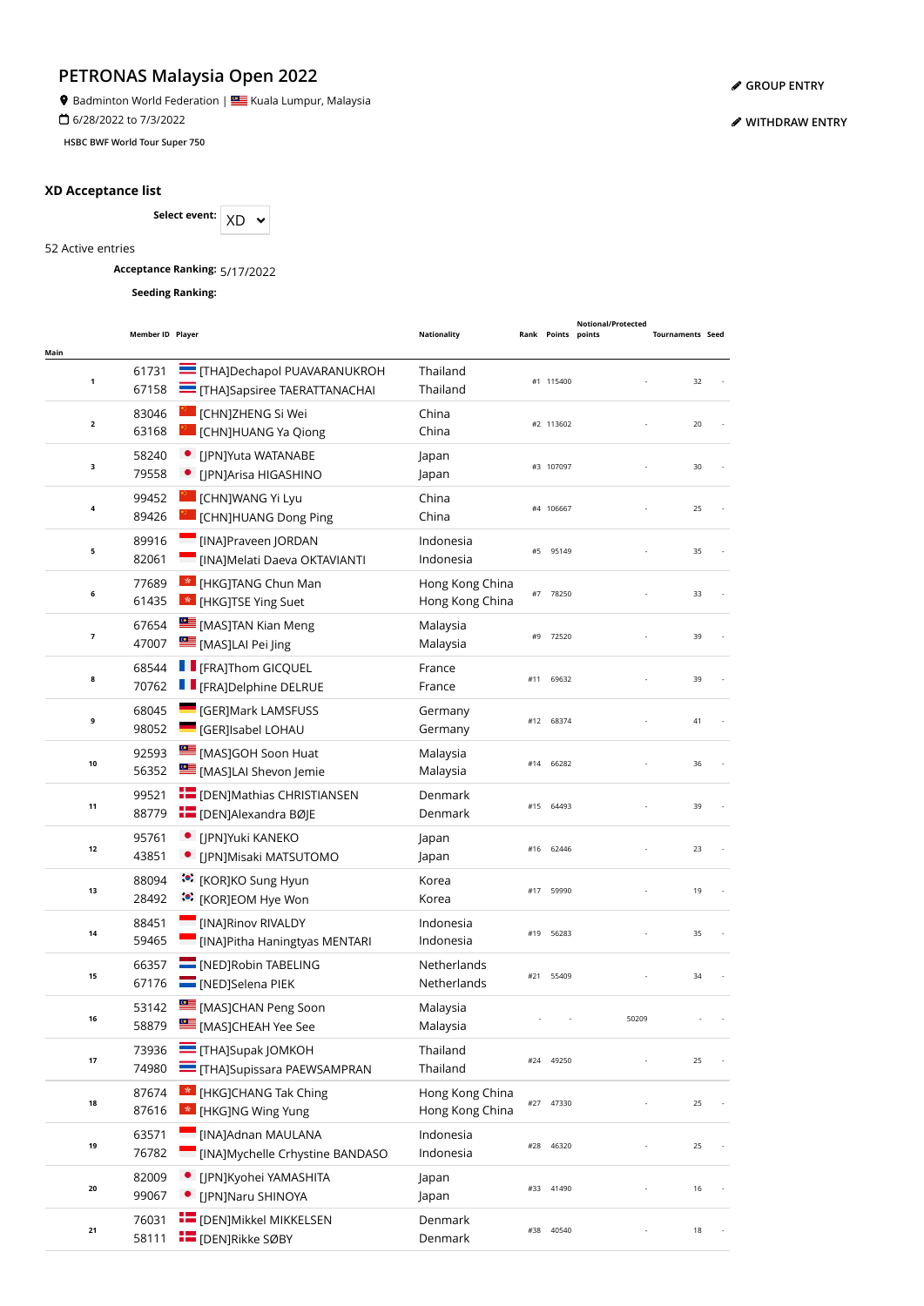**9** Badminton World Federation | **SALLA BEAD** Kuala Lumpur, Malaysia

6/28/2022 to 7/3/2022

**HSBC BWF World Tour Super 750**

## **XD Acceptance list**

Select event:  $XD \sim$ 

52 Active entries

**Acceptance Ranking:** 5/17/2022

**Seeding Ranking:**

| Main                     | Member ID Player |                                                                      | <b>Nationality</b>                 |     | Rank Points points | <b>Notional/Protected</b> | <b>Tournaments Seed</b> |  |
|--------------------------|------------------|----------------------------------------------------------------------|------------------------------------|-----|--------------------|---------------------------|-------------------------|--|
| $\mathbf{1}$             | 61731<br>67158   | THAJDechapol PUAVARANUKROH<br>THA]Sapsiree TAERATTANACHAI            | Thailand<br>Thailand               |     | #1 115400          |                           | 32                      |  |
| $\mathbf 2$              | 83046<br>63168   | <b>CHNJZHENG Si Wei</b><br>CHN]HUANG Ya Qiong                        | China<br>China                     |     | #2 113602          |                           | 20                      |  |
| 3                        | 58240<br>79558   | • [JPN]Yuta WATANABE<br>• [JPN]Arisa HIGASHINO                       | Japan<br>Japan                     |     | #3 107097          |                           | 30                      |  |
| 4                        | 99452<br>89426   | <b>CHNJWANG Yi Lyu</b><br><b>CHN]HUANG Dong Ping</b>                 | China<br>China                     |     | #4 106667          |                           | 25                      |  |
| 5                        | 89916<br>82061   | [INA]Praveen JORDAN<br>[INA]Melati Daeva OKTAVIANTI                  | Indonesia<br>Indonesia             | #5  | 95149              |                           | 35                      |  |
| 6                        | 77689<br>61435   | <b>Ex</b> [HKG]TANG Chun Man<br>* [HKG]TSE Ying Suet                 | Hong Kong China<br>Hong Kong China |     | #7 78250           |                           | 33                      |  |
| $\overline{\phantom{a}}$ | 67654<br>47007   | [MAS]TAN Kian Meng<br>[MAS]LAI Pei Jing                              | Malaysia<br>Malaysia               | #9  | 72520              |                           | 39                      |  |
| 8                        | 68544<br>70762   | <b>F</b> [FRA]Thom GICQUEL<br><b>F</b> [FRA]Delphine DELRUE          | France<br>France                   | #11 | 69632              |                           | 39                      |  |
| 9                        | 68045<br>98052   | <b>CERIMARK LAMSFUSS</b><br><b>GER]Isabel LOHAU</b>                  | Germany<br>Germany                 |     | #12 68374          |                           | 41                      |  |
| 10                       | 92593<br>56352   | MASJGOH Soon Huat<br>[MAS]LAI Shevon Jemie                           | Malaysia<br>Malaysia               | #14 | 66282              |                           | 36                      |  |
| 11                       | 99521<br>88779   | <b>For</b> [DEN]Mathias CHRISTIANSEN<br><b>E</b> [DEN]Alexandra BØJE | Denmark<br>Denmark                 | #15 | 64493              |                           | 39                      |  |
| 12                       | 95761<br>43851   | [JPN]Yuki KANEKO<br>[JPN]Misaki MATSUTOMO                            | Japan<br>Japan                     |     | #16 62446          |                           | 23                      |  |
| 13                       | 88094<br>28492   | <b><sup>*</sup></b> [KOR]KO Sung Hyun<br>ं•ें [KOR]EOM Hye Won       | Korea<br>Korea                     |     | #17 59990          |                           | 19                      |  |
| 14                       | 88451<br>59465   | [INA]Rinov RIVALDY<br>[INA]Pitha Haningtyas MENTARI                  | Indonesia<br>Indonesia             | #19 | 56283              |                           | 35                      |  |
| 15                       | 66357<br>67176   | <b>NED</b> [NED]Robin TABELING<br>MED]Selena PIEK                    | Netherlands<br>Netherlands         | #21 | 55409              |                           | 34                      |  |
| 16                       | 53142<br>58879   | MASJCHAN Peng Soon<br>MASJCHEAH Yee See                              | Malaysia<br>Malaysia               |     |                    | 50209                     |                         |  |
| 17                       | 73936<br>74980   | $\equiv$ [THA]Supak JOMKOH<br><b>THA]Supissara PAEWSAMPRAN</b>       | Thailand<br>Thailand               | #24 | 49250              |                           | 25                      |  |
| 18                       | 87674<br>87616   | <sup>*</sup> [HKG]CHANG Tak Ching<br><b>*</b> [HKG]NG Wing Yung      | Hong Kong China<br>Hong Kong China | #27 | 47330              |                           | 25                      |  |
| 19                       | 63571<br>76782   | [INA]Adnan MAULANA<br>[INA]Mychelle Crhystine BANDASO                | Indonesia<br>Indonesia             | #28 | 46320              |                           | 25                      |  |
| 20                       | 82009<br>99067   | • [JPN]Kyohei YAMASHITA<br>[JPN]Naru SHINOYA                         | Japan<br>Japan                     |     | #33 41490          |                           | 16                      |  |
| 21                       | 76031<br>58111   | <b>E</b> [DEN]Mikkel MIKKELSEN<br><b>DENJRIKKE SØBY</b>              | Denmark<br>Denmark                 | #38 | 40540              |                           | 18                      |  |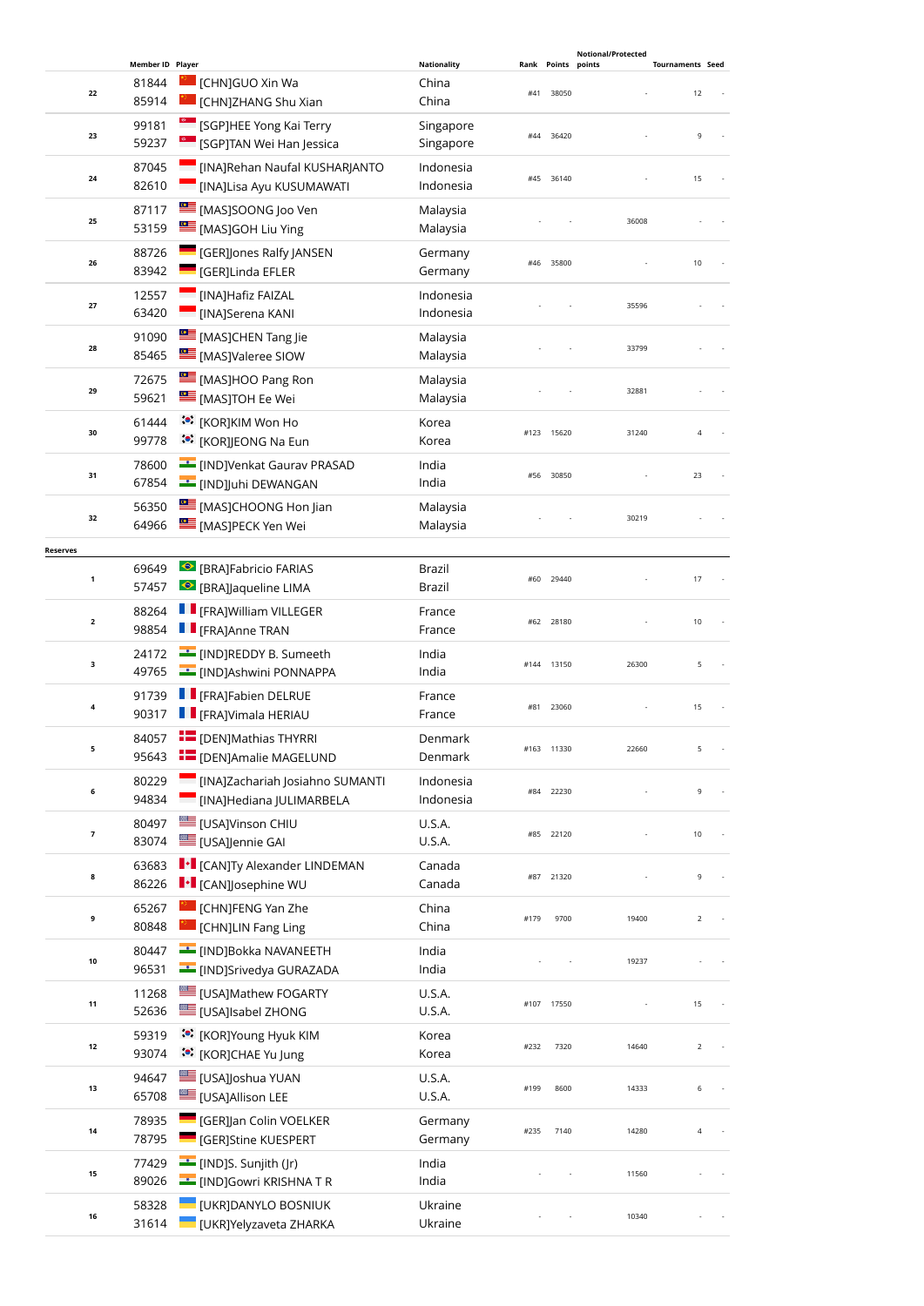|                 |                  |                                                        |                    |      |            | <b>Notional/Protected</b> |                         |
|-----------------|------------------|--------------------------------------------------------|--------------------|------|------------|---------------------------|-------------------------|
|                 | Member ID Player |                                                        | <b>Nationality</b> | Rank | Points     | points                    | <b>Tournaments Seed</b> |
| 22              | 81844            | [CHN]GUO Xin Wa                                        | China              | #41  | 38050      |                           | 12                      |
|                 | 85914            | <b>CHNJZHANG Shu Xian</b>                              | China              |      |            |                           |                         |
| 23              | 99181            | <sup>6</sup> [SGP]HEE Yong Kai Terry                   | Singapore          | #44  | 36420      |                           | 9                       |
|                 | 59237            | <sup>e</sup> [SGP]TAN Wei Han Jessica                  | Singapore          |      |            |                           |                         |
|                 | 87045            | [INA]Rehan Naufal KUSHARJANTO                          | Indonesia          |      |            |                           |                         |
| 24              | 82610            | [INA]Lisa Ayu KUSUMAWATI                               | Indonesia          |      | #45 36140  |                           | 15                      |
|                 | 87117            | MASJSOONG Joo Ven                                      | Malaysia           |      |            |                           |                         |
| 25              | 53159            | [MAS]GOH Liu Ying                                      | Malaysia           |      |            | 36008                     |                         |
|                 |                  |                                                        |                    |      |            |                           |                         |
| 26              | 88726            | <b>GER]Jones Ralfy JANSEN</b>                          | Germany            |      | #46 35800  |                           | 10                      |
|                 | 83942            | [GER]Linda EFLER                                       | Germany            |      |            |                           |                         |
| 27              | 12557            | [INA]Hafiz FAIZAL                                      | Indonesia          |      |            | 35596                     |                         |
|                 | 63420            | [INA]Serena KANI                                       | Indonesia          |      |            |                           |                         |
|                 | 91090            | [MAS]CHEN Tang Jie                                     | Malaysia           |      |            |                           |                         |
| 28              | 85465            | MASJValeree SIOW                                       | Malaysia           |      |            | 33799                     |                         |
|                 | 72675            | [MAS]HOO Pang Ron                                      | Malaysia           |      |            |                           |                         |
| 29              | 59621            | <b>EE</b> [MAS]TOH Ee Wei                              | Malaysia           |      |            | 32881                     |                         |
|                 |                  |                                                        |                    |      |            |                           |                         |
| 30              | 61444            | :•: [KOR]KIM Won Ho                                    | Korea              |      | #123 15620 | 31240                     | $\overline{4}$          |
|                 | 99778            | <b>៎</b> [KOR]JEONG Na Eun                             | Korea              |      |            |                           |                         |
|                 | 78600            | <b>Example 19 IND</b> JVenkat Gaurav PRASAD            | India              |      | 30850      |                           | 23                      |
| 31              | 67854            | <b>E</b> [IND]Juhi DEWANGAN                            | India              | #56  |            |                           |                         |
|                 | 56350            | [MAS]CHOONG Hon Jian                                   | Malaysia           |      |            |                           |                         |
| 32              | 64966            | <b>EMASJPECK Yen Wei</b>                               | Malaysia           |      |            | 30219                     |                         |
|                 |                  |                                                        |                    |      |            |                           |                         |
| <b>Reserves</b> | 69649            | <b>BRAJFabricio FARIAS</b>                             | Brazil             |      |            |                           |                         |
| $\mathbf{1}$    | 57457            | <b>BRAJ</b> aqueline LIMA                              | Brazil             |      | #60 29440  |                           | 17                      |
|                 |                  |                                                        |                    |      |            |                           |                         |
| $\mathbf{2}$    | 88264            | <b>F</b> [FRA]William VILLEGER                         | France             | #62  | 28180      |                           | 10                      |
|                 | 98854            | <b>F</b> [FRA]Anne TRAN                                | France             |      |            |                           |                         |
|                 | 24172            | <b>EXAMPLE 1999</b> [IND]REDDY B. Sumeeth              | India              |      |            |                           |                         |
| з               | 49765            | <b>EDIAL</b> [IND]Ashwini PONNAPPA                     | India              |      | #144 13150 | 26300                     | 5                       |
|                 | 91739            | <b>F</b> [FRA]Fabien DELRUE                            | France             |      |            |                           |                         |
| 4               | 90317            | <b>F</b> [FRA]Vimala HERIAU                            | France             | #81  | 23060      |                           | 15                      |
|                 | 84057            | <b>THE [DEN]Mathias THYRRI</b>                         | Denmark            |      |            |                           |                         |
| 5               | 95643            | <b>E</b> [DEN]Amalie MAGELUND                          | Denmark            |      | #163 11330 | 22660                     | 5                       |
|                 |                  |                                                        |                    |      |            |                           |                         |
| 6               | 80229            | [INA]Zachariah Josiahno SUMANTI                        | Indonesia          | #84  | 22230      |                           | 9                       |
|                 | 94834            | [INA]Hediana JULIMARBELA                               | Indonesia          |      |            |                           |                         |
|                 | 80497            | <b>USAJVinson CHIU</b>                                 | <b>U.S.A.</b>      |      |            |                           |                         |
| 7               | 83074            | [USA]Jennie GAI                                        | U.S.A.             | #85  | 22120      |                           | 10                      |
|                 | 63683            | <b>I</b> • [CAN]Ty Alexander LINDEMAN                  | Canada             |      |            |                           |                         |
| 8               | 86226            | $\ \cdot\ $ [CAN]]osephine WU                          | Canada             | #87  | 21320      |                           | 9                       |
|                 |                  | [CHN]FENG Yan Zhe                                      |                    |      |            |                           |                         |
| 9               | 65267            |                                                        | China              | #179 | 9700       | 19400                     | $\overline{2}$          |
|                 | 80848            | [CHN]LIN Fang Ling                                     | China              |      |            |                           |                         |
| $10\,$          | 80447            | <b>Example 19 Times In The De</b> [IND]Bokka NAVANEETH | India              |      |            | 19237                     |                         |
|                 | 96531            | <b>Example 15 INDJSrivedya GURAZADA</b>                | India              |      |            |                           |                         |
|                 | 11268            | <b>IMAGINATION</b> FOGARTY                             | U.S.A.             |      |            |                           |                         |
| 11              | 52636            | <b>LE [USA]Isabel ZHONG</b>                            | U.S.A.             | #107 | 17550      |                           | 15                      |
|                 | 59319            | :•: [KOR]Young Hyuk KIM                                | Korea              |      |            |                           |                         |
| 12              | 93074            | :•: [KOR]CHAE Yu Jung                                  | Korea              | #232 | 7320       | 14640                     | $\overline{2}$          |
|                 |                  |                                                        |                    |      |            |                           |                         |
| 13              | 94647            | USA]Joshua YUAN                                        | U.S.A.             | #199 | 8600       | 14333                     | 6                       |
|                 | 65708            | [USA]Allison LEE                                       | U.S.A.             |      |            |                           |                         |
| 14              | 78935            | [GER]Jan Colin VOELKER                                 | Germany            | #235 | 7140       | 14280                     | 4                       |
|                 | 78795            | [GER]Stine KUESPERT                                    | Germany            |      |            |                           |                         |
|                 | 77429            | [IND]S. Sunjith (Jr)                                   | India              |      |            |                           |                         |
| 15              | 89026            | E [IND]Gowri KRISHNA T R                               | India              |      |            | 11560                     |                         |
|                 | 58328            | [UKR]DANYLO BOSNIUK                                    | Ukraine            |      |            |                           |                         |
| 16              | 31614            | [UKR]Yelyzaveta ZHARKA                                 | Ukraine            |      |            | 10340                     |                         |
|                 |                  |                                                        |                    |      |            |                           |                         |